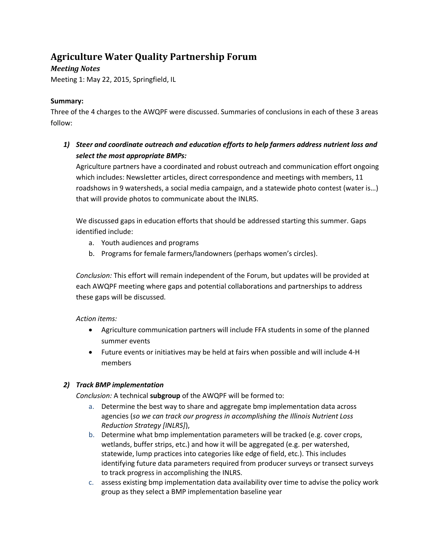# **Agriculture Water Quality Partnership Forum**

# *Meeting Notes*

Meeting 1: May 22, 2015, Springfield, IL

# **Summary:**

Three of the 4 charges to the AWQPF were discussed. Summaries of conclusions in each of these 3 areas follow:

*1) Steer and coordinate outreach and education efforts to help farmers address nutrient loss and select the most appropriate BMPs:* 

Agriculture partners have a coordinated and robust outreach and communication effort ongoing which includes: Newsletter articles, direct correspondence and meetings with members, 11 roadshows in 9 watersheds, a social media campaign, and a statewide photo contest (water is…) that will provide photos to communicate about the INLRS.

We discussed gaps in education efforts that should be addressed starting this summer. Gaps identified include:

- a. Youth audiences and programs
- b. Programs for female farmers/landowners (perhaps women's circles).

*Conclusion:* This effort will remain independent of the Forum, but updates will be provided at each AWQPF meeting where gaps and potential collaborations and partnerships to address these gaps will be discussed.

*Action items:* 

- Agriculture communication partners will include FFA students in some of the planned summer events
- Future events or initiatives may be held at fairs when possible and will include 4-H members

## *2) Track BMP implementation*

*Conclusion:* A technical **subgroup** of the AWQPF will be formed to:

- a. Determine the best way to share and aggregate bmp implementation data across agencies (*so we can track our progress in accomplishing the Illinois Nutrient Loss Reduction Strategy [INLRS]*),
- b. Determine what bmp implementation parameters will be tracked (e.g. cover crops, wetlands, buffer strips, etc.) and how it will be aggregated (e.g. per watershed, statewide, lump practices into categories like edge of field, etc.). This includes identifying future data parameters required from producer surveys or transect surveys to track progress in accomplishing the INLRS.
- c. assess existing bmp implementation data availability over time to advise the policy work group as they select a BMP implementation baseline year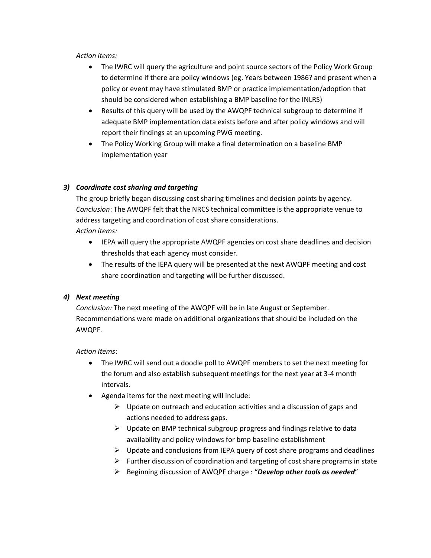#### *Action items:*

- The IWRC will query the agriculture and point source sectors of the Policy Work Group to determine if there are policy windows (eg. Years between 1986? and present when a policy or event may have stimulated BMP or practice implementation/adoption that should be considered when establishing a BMP baseline for the INLRS)
- Results of this query will be used by the AWQPF technical subgroup to determine if adequate BMP implementation data exists before and after policy windows and will report their findings at an upcoming PWG meeting.
- The Policy Working Group will make a final determination on a baseline BMP implementation year

## *3) Coordinate cost sharing and targeting*

The group briefly began discussing cost sharing timelines and decision points by agency. *Conclusion*: The AWQPF felt that the NRCS technical committee is the appropriate venue to address targeting and coordination of cost share considerations. *Action items:*

- IEPA will query the appropriate AWQPF agencies on cost share deadlines and decision thresholds that each agency must consider.
- The results of the IEPA query will be presented at the next AWQPF meeting and cost share coordination and targeting will be further discussed.

#### *4) Next meeting*

*Conclusion:* The next meeting of the AWQPF will be in late August or September. Recommendations were made on additional organizations that should be included on the AWQPF.

#### *Action Items*:

- The IWRC will send out a doodle poll to AWQPF members to set the next meeting for the forum and also establish subsequent meetings for the next year at 3-4 month intervals.
- Agenda items for the next meeting will include:
	- $\triangleright$  Update on outreach and education activities and a discussion of gaps and actions needed to address gaps.
	- $\triangleright$  Update on BMP technical subgroup progress and findings relative to data availability and policy windows for bmp baseline establishment
	- $\triangleright$  Update and conclusions from IEPA query of cost share programs and deadlines
	- $\triangleright$  Further discussion of coordination and targeting of cost share programs in state
	- Beginning discussion of AWQPF charge : "*Develop other tools as needed*"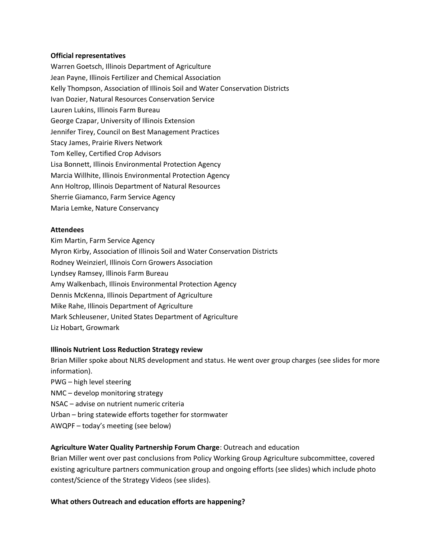#### **Official representatives**

Warren Goetsch, Illinois Department of Agriculture Jean Payne, Illinois Fertilizer and Chemical Association Kelly Thompson, Association of Illinois Soil and Water Conservation Districts Ivan Dozier, Natural Resources Conservation Service Lauren Lukins, Illinois Farm Bureau George Czapar, University of Illinois Extension Jennifer Tirey, Council on Best Management Practices Stacy James, Prairie Rivers Network Tom Kelley, Certified Crop Advisors Lisa Bonnett, Illinois Environmental Protection Agency Marcia Willhite, Illinois Environmental Protection Agency Ann Holtrop, Illinois Department of Natural Resources Sherrie Giamanco, Farm Service Agency Maria Lemke, Nature Conservancy

#### **Attendees**

Kim Martin, Farm Service Agency Myron Kirby, Association of Illinois Soil and Water Conservation Districts Rodney Weinzierl, Illinois Corn Growers Association Lyndsey Ramsey, Illinois Farm Bureau Amy Walkenbach, Illinois Environmental Protection Agency Dennis McKenna, Illinois Department of Agriculture Mike Rahe, Illinois Department of Agriculture Mark Schleusener, United States Department of Agriculture Liz Hobart, Growmark

#### **Illinois Nutrient Loss Reduction Strategy review**

Brian Miller spoke about NLRS development and status. He went over group charges (see slides for more information).

- PWG high level steering
- NMC develop monitoring strategy
- NSAC advise on nutrient numeric criteria
- Urban bring statewide efforts together for stormwater
- AWQPF today's meeting (see below)

#### **Agriculture Water Quality Partnership Forum Charge**: Outreach and education

Brian Miller went over past conclusions from Policy Working Group Agriculture subcommittee, covered existing agriculture partners communication group and ongoing efforts (see slides) which include photo contest/Science of the Strategy Videos (see slides).

#### **What others Outreach and education efforts are happening?**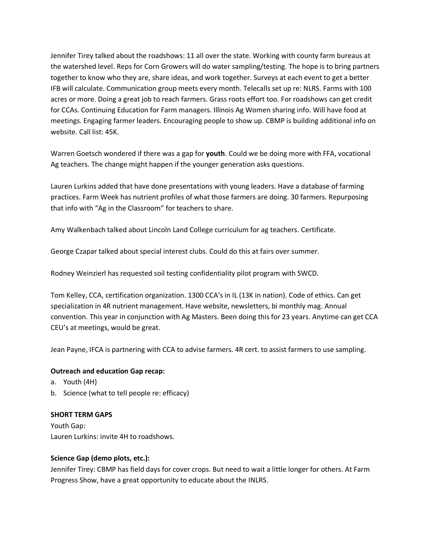Jennifer Tirey talked about the roadshows: 11 all over the state. Working with county farm bureaus at the watershed level. Reps for Corn Growers will do water sampling/testing. The hope is to bring partners together to know who they are, share ideas, and work together. Surveys at each event to get a better IFB will calculate. Communication group meets every month. Telecalls set up re: NLRS. Farms with 100 acres or more. Doing a great job to reach farmers. Grass roots effort too. For roadshows can get credit for CCAs. Continuing Education for Farm managers. Illinois Ag Women sharing info. Will have food at meetings. Engaging farmer leaders. Encouraging people to show up. CBMP is building additional info on website. Call list: 45K.

Warren Goetsch wondered if there was a gap for **youth**. Could we be doing more with FFA, vocational Ag teachers. The change might happen if the younger generation asks questions.

Lauren Lurkins added that have done presentations with young leaders. Have a database of farming practices. Farm Week has nutrient profiles of what those farmers are doing. 30 farmers. Repurposing that info with "Ag in the Classroom" for teachers to share.

Amy Walkenbach talked about Lincoln Land College curriculum for ag teachers. Certificate.

George Czapar talked about special interest clubs. Could do this at fairs over summer.

Rodney Weinzierl has requested soil testing confidentiality pilot program with SWCD.

Tom Kelley, CCA, certification organization. 1300 CCA's in IL (13K in nation). Code of ethics. Can get specialization in 4R nutrient management. Have website, newsletters, bi monthly mag. Annual convention. This year in conjunction with Ag Masters. Been doing this for 23 years. Anytime can get CCA CEU's at meetings, would be great.

Jean Payne, IFCA is partnering with CCA to advise farmers. 4R cert. to assist farmers to use sampling.

#### **Outreach and education Gap recap:**

- a. Youth (4H)
- b. Science (what to tell people re: efficacy)

#### **SHORT TERM GAPS**

Youth Gap: Lauren Lurkins: invite 4H to roadshows.

#### **Science Gap (demo plots, etc.):**

Jennifer Tirey: CBMP has field days for cover crops. But need to wait a little longer for others. At Farm Progress Show, have a great opportunity to educate about the INLRS.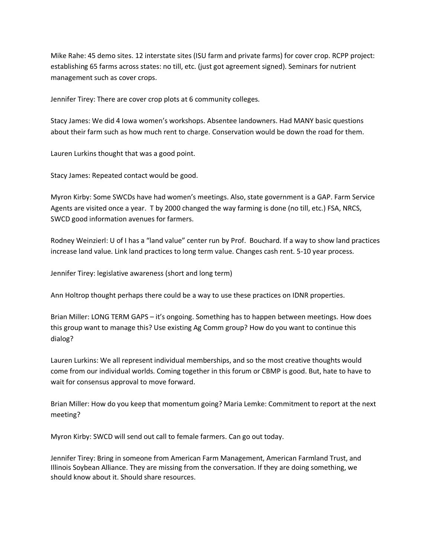Mike Rahe: 45 demo sites. 12 interstate sites (ISU farm and private farms) for cover crop. RCPP project: establishing 65 farms across states: no till, etc. (just got agreement signed). Seminars for nutrient management such as cover crops.

Jennifer Tirey: There are cover crop plots at 6 community colleges.

Stacy James: We did 4 Iowa women's workshops. Absentee landowners. Had MANY basic questions about their farm such as how much rent to charge. Conservation would be down the road for them.

Lauren Lurkins thought that was a good point.

Stacy James: Repeated contact would be good.

Myron Kirby: Some SWCDs have had women's meetings. Also, state government is a GAP. Farm Service Agents are visited once a year. T by 2000 changed the way farming is done (no till, etc.) FSA, NRCS, SWCD good information avenues for farmers.

Rodney Weinzierl: U of I has a "land value" center run by Prof. Bouchard. If a way to show land practices increase land value. Link land practices to long term value. Changes cash rent. 5-10 year process.

Jennifer Tirey: legislative awareness (short and long term)

Ann Holtrop thought perhaps there could be a way to use these practices on IDNR properties.

Brian Miller: LONG TERM GAPS – it's ongoing. Something has to happen between meetings. How does this group want to manage this? Use existing Ag Comm group? How do you want to continue this dialog?

Lauren Lurkins: We all represent individual memberships, and so the most creative thoughts would come from our individual worlds. Coming together in this forum or CBMP is good. But, hate to have to wait for consensus approval to move forward.

Brian Miller: How do you keep that momentum going? Maria Lemke: Commitment to report at the next meeting?

Myron Kirby: SWCD will send out call to female farmers. Can go out today.

Jennifer Tirey: Bring in someone from American Farm Management, American Farmland Trust, and Illinois Soybean Alliance. They are missing from the conversation. If they are doing something, we should know about it. Should share resources.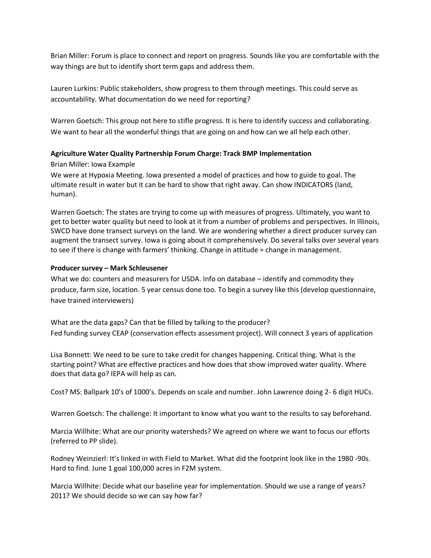Brian Miller: Forum is place to connect and report on progress. Sounds like you are comfortable with the way things are but to identify short term gaps and address them.

Lauren Lurkins: Public stakeholders, show progress to them through meetings. This could serve as accountability. What documentation do we need for reporting?

Warren Goetsch: This group not here to stifle progress. It is here to identify success and collaborating. We want to hear all the wonderful things that are going on and how can we all help each other.

## **Agriculture Water Quality Partnership Forum Charge: Track BMP Implementation**

## Brian Miller: Iowa Example

We were at Hypoxia Meeting. Iowa presented a model of practices and how to guide to goal. The ultimate result in water but it can be hard to show that right away. Can show INDICATORS (land, human).

Warren Goetsch: The states are trying to come up with measures of progress. Ultimately, you want to get to better water quality but need to look at it from a number of problems and perspectives. In Illinois, SWCD have done transect surveys on the land. We are wondering whether a direct producer survey can augment the transect survey. Iowa is going about it comprehensively. Do several talks over several years to see if there is change with farmers' thinking. Change in attitude = change in management.

#### **Producer survey – Mark Schleusener**

What we do: counters and measurers for USDA. Info on database – identify and commodity they produce, farm size, location. 5 year census done too. To begin a survey like this (develop questionnaire, have trained interviewers)

What are the data gaps? Can that be filled by talking to the producer? Fed funding survey CEAP (conservation effects assessment project). Will connect 3 years of application

Lisa Bonnett: We need to be sure to take credit for changes happening. Critical thing. What is the starting point? What are effective practices and how does that show improved water quality. Where does that data go? IEPA will help as can.

Cost? MS: Ballpark 10's of 1000's. Depends on scale and number. John Lawrence doing 2- 6 digit HUCs.

Warren Goetsch: The challenge: It important to know what you want to the results to say beforehand.

Marcia Willhite: What are our priority watersheds? We agreed on where we want to focus our efforts (referred to PP slide).

Rodney Weinzierl: It's linked in with Field to Market. What did the footprint look like in the 1980 -90s. Hard to find. June 1 goal 100,000 acres in F2M system.

Marcia Willhite: Decide what our baseline year for implementation. Should we use a range of years? 2011? We should decide so we can say how far?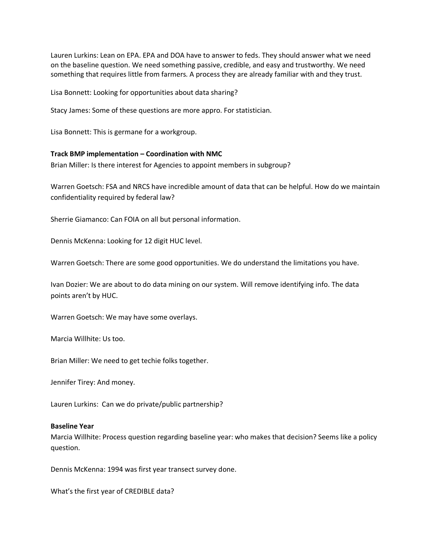Lauren Lurkins: Lean on EPA. EPA and DOA have to answer to feds. They should answer what we need on the baseline question. We need something passive, credible, and easy and trustworthy. We need something that requires little from farmers. A process they are already familiar with and they trust.

Lisa Bonnett: Looking for opportunities about data sharing?

Stacy James: Some of these questions are more appro. For statistician.

Lisa Bonnett: This is germane for a workgroup.

#### **Track BMP implementation – Coordination with NMC**

Brian Miller: Is there interest for Agencies to appoint members in subgroup?

Warren Goetsch: FSA and NRCS have incredible amount of data that can be helpful. How do we maintain confidentiality required by federal law?

Sherrie Giamanco: Can FOIA on all but personal information.

Dennis McKenna: Looking for 12 digit HUC level.

Warren Goetsch: There are some good opportunities. We do understand the limitations you have.

Ivan Dozier: We are about to do data mining on our system. Will remove identifying info. The data points aren't by HUC.

Warren Goetsch: We may have some overlays.

Marcia Willhite: Us too.

Brian Miller: We need to get techie folks together.

Jennifer Tirey: And money.

Lauren Lurkins: Can we do private/public partnership?

#### **Baseline Year**

Marcia Willhite: Process question regarding baseline year: who makes that decision? Seems like a policy question.

Dennis McKenna: 1994 was first year transect survey done.

What's the first year of CREDIBLE data?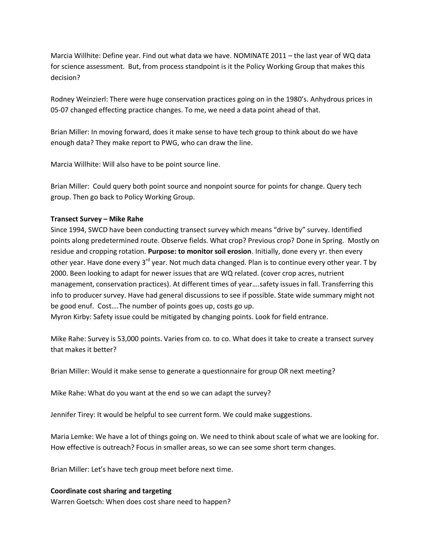Marcia Willhite: Define year. Find out what data we have. NOMINATE 2011 – the last year of WQ data for science assessment. But, from process standpoint is it the Policy Working Group that makes this decision?

Rodney Weinzierl: There were huge conservation practices going on in the 1980's. Anhydrous prices in 05-07 changed effecting practice changes. To me, we need a data point ahead of that.

Brian Miller: In moving forward, does it make sense to have tech group to think about do we have enough data? They make report to PWG, who can draw the line.

Marcia Willhite: Will also have to be point source line.

Brian Miller: Could query both point source and nonpoint source for points for change. Query tech group. Then go back to Policy Working Group.

## **Transect Survey – Mike Rahe**

Since 1994, SWCD have been conducting transect survey which means "drive by" survey. Identified points along predetermined route. Observe fields. What crop? Previous crop? Done in Spring. Mostly on residue and cropping rotation. **Purpose: to monitor soil erosion**. Initially, done every yr. then every other year. Have done every 3<sup>rd</sup> year. Not much data changed. Plan is to continue every other year. T by 2000. Been looking to adapt for newer issues that are WQ related. (cover crop acres, nutrient management, conservation practices). At different times of year….safety issues in fall. Transferring this info to producer survey. Have had general discussions to see if possible. State wide summary might not be good enuf. Cost….The number of points goes up, costs go up.

Myron Kirby: Safety issue could be mitigated by changing points. Look for field entrance.

Mike Rahe: Survey is 53,000 points. Varies from co. to co. What does it take to create a transect survey that makes it better?

Brian Miller: Would it make sense to generate a questionnaire for group OR next meeting?

Mike Rahe: What do you want at the end so we can adapt the survey?

Jennifer Tirey: It would be helpful to see current form. We could make suggestions.

Maria Lemke: We have a lot of things going on. We need to think about scale of what we are looking for. How effective is outreach? Focus in smaller areas, so we can see some short term changes.

Brian Miller: Let's have tech group meet before next time.

#### **Coordinate cost sharing and targeting**

Warren Goetsch: When does cost share need to happen?